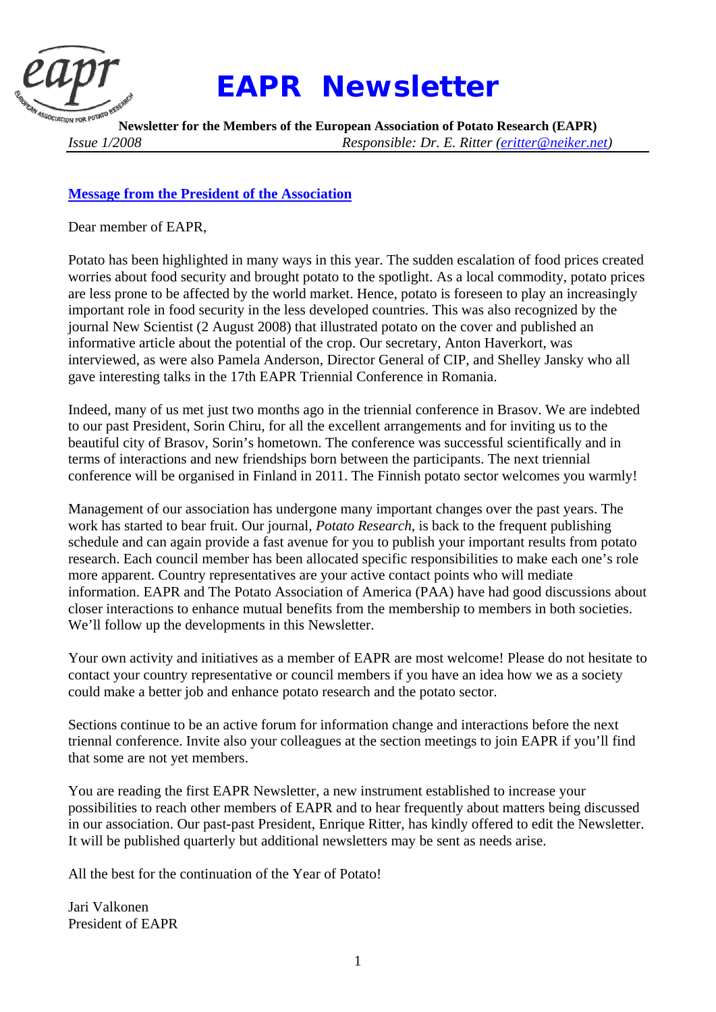

# *EAPR Newsletter*

**Newsletter for the Members of the European Association of Potato Research (EAPR)**  *Issue 1/2008 Responsible: Dr. E. Ritter (eritter@neiker.net)* 

# **Message from the President of the Association**

Dear member of EAPR,

Potato has been highlighted in many ways in this year. The sudden escalation of food prices created worries about food security and brought potato to the spotlight. As a local commodity, potato prices are less prone to be affected by the world market. Hence, potato is foreseen to play an increasingly important role in food security in the less developed countries. This was also recognized by the journal New Scientist (2 August 2008) that illustrated potato on the cover and published an informative article about the potential of the crop. Our secretary, Anton Haverkort, was interviewed, as were also Pamela Anderson, Director General of CIP, and Shelley Jansky who all gave interesting talks in the 17th EAPR Triennial Conference in Romania.

Indeed, many of us met just two months ago in the triennial conference in Brasov. We are indebted to our past President, Sorin Chiru, for all the excellent arrangements and for inviting us to the beautiful city of Brasov, Sorin's hometown. The conference was successful scientifically and in terms of interactions and new friendships born between the participants. The next triennial conference will be organised in Finland in 2011. The Finnish potato sector welcomes you warmly!

Management of our association has undergone many important changes over the past years. The work has started to bear fruit. Our journal, *Potato Research*, is back to the frequent publishing schedule and can again provide a fast avenue for you to publish your important results from potato research. Each council member has been allocated specific responsibilities to make each one's role more apparent. Country representatives are your active contact points who will mediate information. EAPR and The Potato Association of America (PAA) have had good discussions about closer interactions to enhance mutual benefits from the membership to members in both societies. We'll follow up the developments in this Newsletter.

Your own activity and initiatives as a member of EAPR are most welcome! Please do not hesitate to contact your country representative or council members if you have an idea how we as a society could make a better job and enhance potato research and the potato sector.

Sections continue to be an active forum for information change and interactions before the next triennal conference. Invite also your colleagues at the section meetings to join EAPR if you'll find that some are not yet members.

You are reading the first EAPR Newsletter, a new instrument established to increase your possibilities to reach other members of EAPR and to hear frequently about matters being discussed in our association. Our past-past President, Enrique Ritter, has kindly offered to edit the Newsletter. It will be published quarterly but additional newsletters may be sent as needs arise.

All the best for the continuation of the Year of Potato!

Jari Valkonen President of EAPR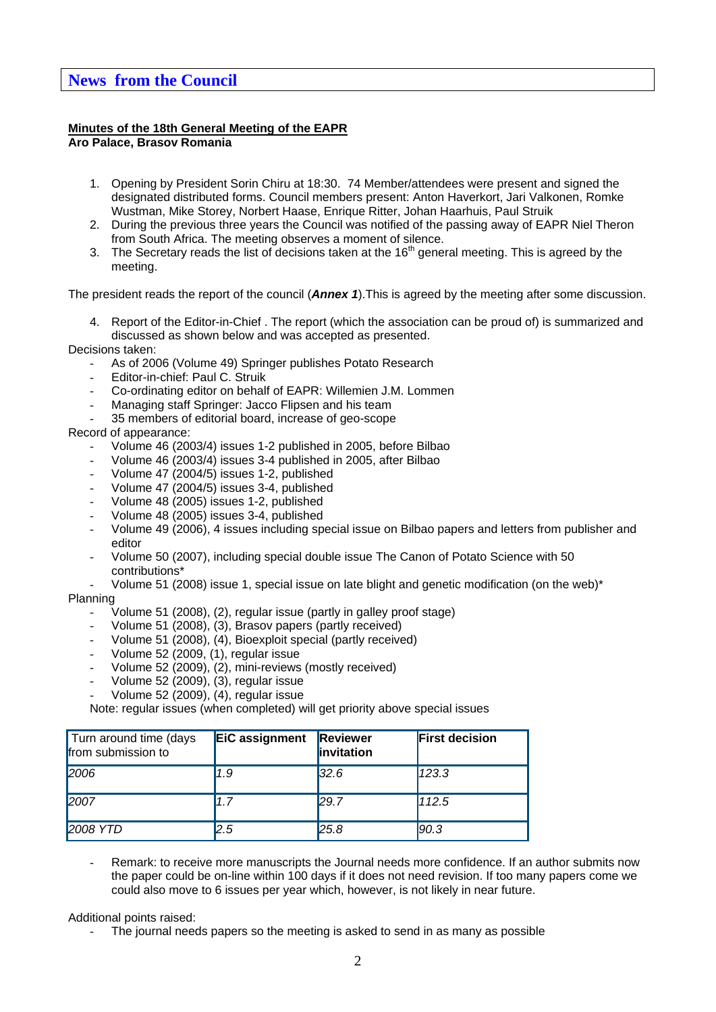# **News from the Council**

#### **Minutes of the 18th General Meeting of the EAPR Aro Palace, Brasov Romania**

- 1. Opening by President Sorin Chiru at 18:30. 74 Member/attendees were present and signed the designated distributed forms. Council members present: Anton Haverkort, Jari Valkonen, Romke Wustman, Mike Storey, Norbert Haase, Enrique Ritter, Johan Haarhuis, Paul Struik
- 2. During the previous three years the Council was notified of the passing away of EAPR Niel Theron from South Africa. The meeting observes a moment of silence.
- 3. The Secretary reads the list of decisions taken at the  $16<sup>th</sup>$  general meeting. This is agreed by the meeting.

The president reads the report of the council (*Annex 1*).This is agreed by the meeting after some discussion.

4. Report of the Editor-in-Chief . The report (which the association can be proud of) is summarized and discussed as shown below and was accepted as presented.

#### Decisions taken:

- As of 2006 (Volume 49) Springer publishes Potato Research
- Editor-in-chief: Paul C. Struik
- Co-ordinating editor on behalf of EAPR: Willemien J.M. Lommen
- Managing staff Springer: Jacco Flipsen and his team
- 35 members of editorial board, increase of geo-scope

#### Record of appearance:

- Volume 46 (2003/4) issues 1-2 published in 2005, before Bilbao
- Volume 46 (2003/4) issues 3-4 published in 2005, after Bilbao
- Volume 47 (2004/5) issues 1-2, published
- Volume 47 (2004/5) issues 3-4, published
- Volume 48 (2005) issues 1-2, published
- Volume 48 (2005) issues 3-4, published
- Volume 49 (2006), 4 issues including special issue on Bilbao papers and letters from publisher and editor
- Volume 50 (2007), including special double issue The Canon of Potato Science with 50 contributions\*
- Volume 51 (2008) issue 1, special issue on late blight and genetic modification (on the web)\*

## Planning

- Volume 51 (2008), (2), regular issue (partly in galley proof stage)
- Volume 51 (2008), (3), Brasov papers (partly received)
- Volume 51 (2008), (4), Bioexploit special (partly received)
- Volume 52 (2009, (1), regular issue
- Volume 52 (2009), (2), mini-reviews (mostly received)
- Volume 52 (2009), (3), regular issue
- Volume 52 (2009), (4), regular issue

Note: regular issues (when completed) will get priority above special issues

| Turn around time (days<br>from submission to | EiC assignment | Reviewer<br>invitation | <b>First decision</b> |
|----------------------------------------------|----------------|------------------------|-----------------------|
| 2006                                         | 1.9            | 32.6                   | 123.3                 |
| 2007                                         | 1.7            | 129.7                  | 112.5                 |
| <b>2008 YTD</b>                              | 2.5            | 25.8                   | 90.3                  |

Remark: to receive more manuscripts the Journal needs more confidence. If an author submits now the paper could be on-line within 100 days if it does not need revision. If too many papers come we could also move to 6 issues per year which, however, is not likely in near future.

Additional points raised:

The journal needs papers so the meeting is asked to send in as many as possible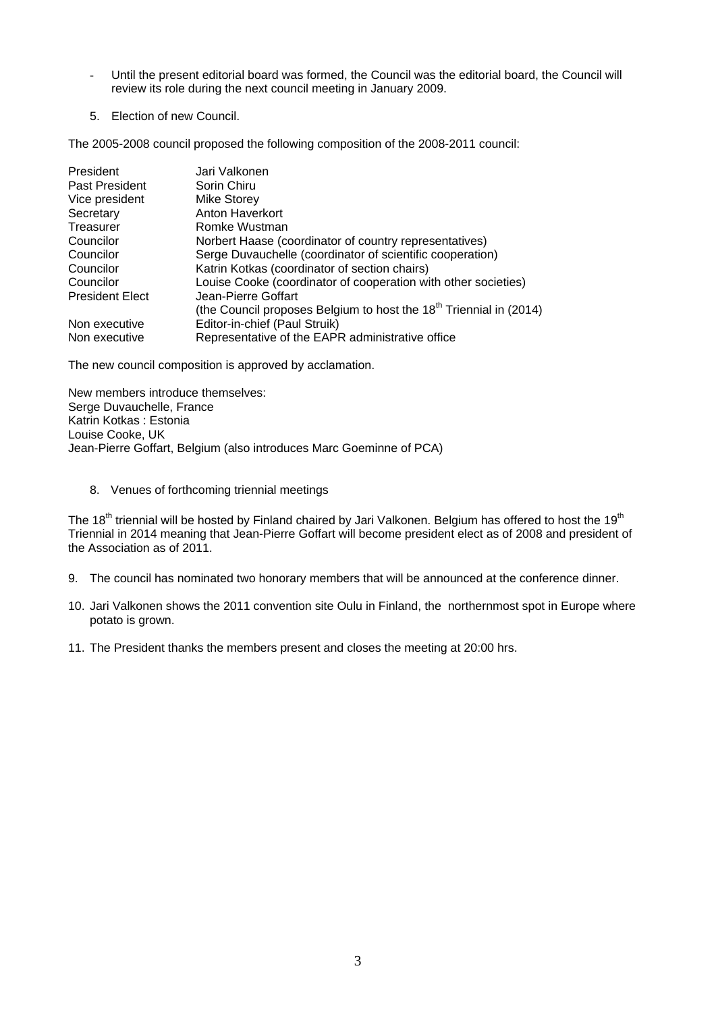- Until the present editorial board was formed, the Council was the editorial board, the Council will review its role during the next council meeting in January 2009.
- 5. Election of new Council.

The 2005-2008 council proposed the following composition of the 2008-2011 council:

| President              | Jari Valkonen                                                                  |
|------------------------|--------------------------------------------------------------------------------|
| Past President         | Sorin Chiru                                                                    |
| Vice president         | <b>Mike Storey</b>                                                             |
| Secretary              | Anton Haverkort                                                                |
| Treasurer              | Romke Wustman                                                                  |
| Councilor              | Norbert Haase (coordinator of country representatives)                         |
| Councilor              | Serge Duvauchelle (coordinator of scientific cooperation)                      |
| Councilor              | Katrin Kotkas (coordinator of section chairs)                                  |
| Councilor              | Louise Cooke (coordinator of cooperation with other societies)                 |
| <b>President Elect</b> | Jean-Pierre Goffart                                                            |
|                        | (the Council proposes Belgium to host the 18 <sup>th</sup> Triennial in (2014) |
| Non executive          | Editor-in-chief (Paul Struik)                                                  |
| Non executive          | Representative of the EAPR administrative office                               |

The new council composition is approved by acclamation.

New members introduce themselves: Serge Duvauchelle, France Katrin Kotkas : Estonia Louise Cooke, UK Jean-Pierre Goffart, Belgium (also introduces Marc Goeminne of PCA)

8. Venues of forthcoming triennial meetings

The 18<sup>th</sup> triennial will be hosted by Finland chaired by Jari Valkonen. Belgium has offered to host the 19<sup>th</sup> Triennial in 2014 meaning that Jean-Pierre Goffart will become president elect as of 2008 and president of the Association as of 2011.

- 9. The council has nominated two honorary members that will be announced at the conference dinner.
- 10. Jari Valkonen shows the 2011 convention site Oulu in Finland, the northernmost spot in Europe where potato is grown.
- 11. The President thanks the members present and closes the meeting at 20:00 hrs.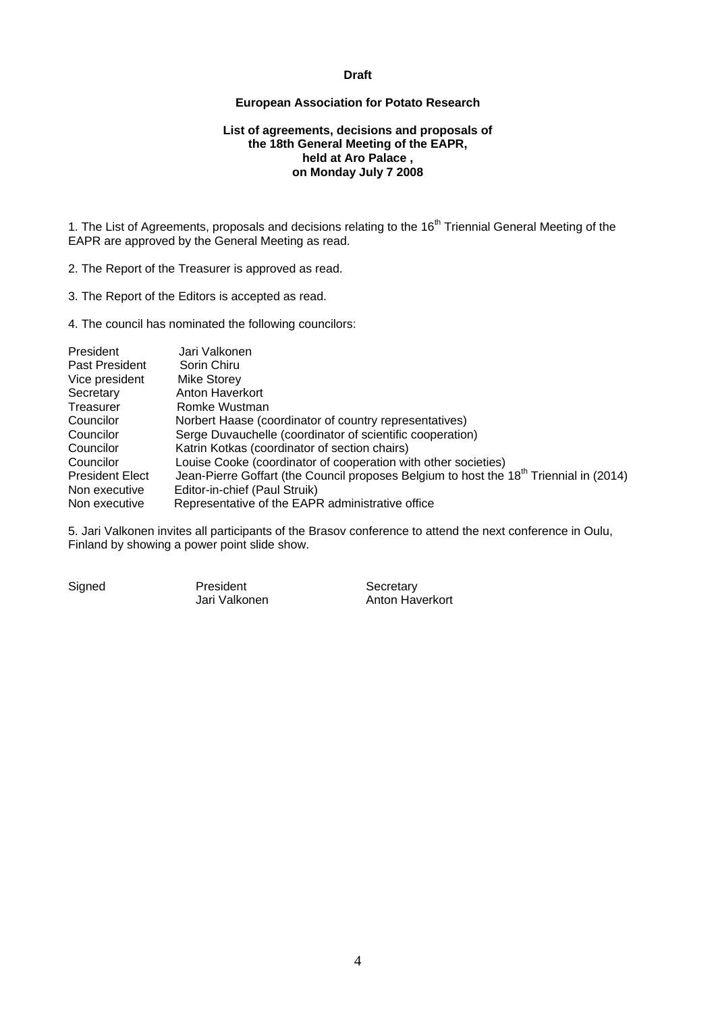#### **Draft**

#### **European Association for Potato Research**

#### **List of agreements, decisions and proposals of the 18th General Meeting of the EAPR, held at Aro Palace , on Monday July 7 2008**

1. The List of Agreements, proposals and decisions relating to the 16<sup>th</sup> Triennial General Meeting of the EAPR are approved by the General Meeting as read.

2. The Report of the Treasurer is approved as read.

3. The Report of the Editors is accepted as read.

4. The council has nominated the following councilors:

| President              | Jari Valkonen                                                                                      |
|------------------------|----------------------------------------------------------------------------------------------------|
| Past President         | Sorin Chiru                                                                                        |
| Vice president         | Mike Storey                                                                                        |
| Secretary              | Anton Haverkort                                                                                    |
| Treasurer              | Romke Wustman                                                                                      |
| Councilor              | Norbert Haase (coordinator of country representatives)                                             |
| Councilor              | Serge Duvauchelle (coordinator of scientific cooperation)                                          |
| Councilor              | Katrin Kotkas (coordinator of section chairs)                                                      |
| Councilor              | Louise Cooke (coordinator of cooperation with other societies)                                     |
| <b>President Elect</b> | Jean-Pierre Goffart (the Council proposes Belgium to host the 18 <sup>th</sup> Triennial in (2014) |
| Non executive          | Editor-in-chief (Paul Struik)                                                                      |
| Non executive          | Representative of the EAPR administrative office                                                   |

5. Jari Valkonen invites all participants of the Brasov conference to attend the next conference in Oulu, Finland by showing a power point slide show.

Signed President President Secretary<br>Jari Valkonen Anton Hav

Anton Haverkort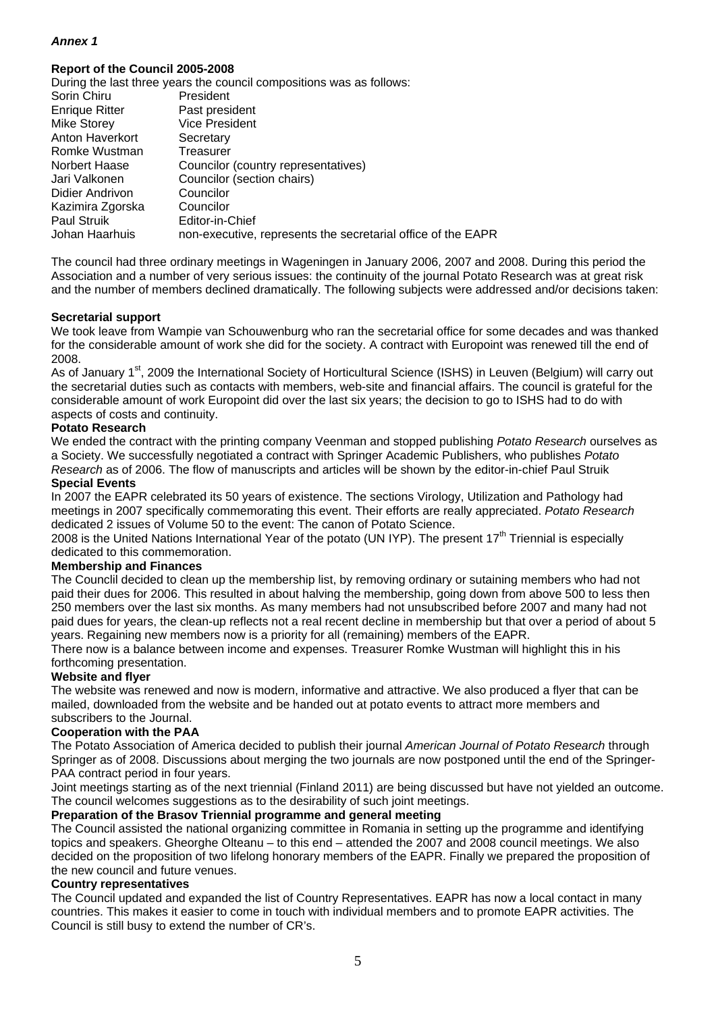## *Annex 1*

#### **Report of the Council 2005-2008**

|                       | During the last three years the council compositions was as follows: |
|-----------------------|----------------------------------------------------------------------|
| Sorin Chiru           | President                                                            |
| <b>Enrique Ritter</b> | Past president                                                       |
| <b>Mike Storey</b>    | <b>Vice President</b>                                                |
| Anton Haverkort       | Secretary                                                            |
| Romke Wustman         | Treasurer                                                            |
| Norbert Haase         | Councilor (country representatives)                                  |
| Jari Valkonen         | Councilor (section chairs)                                           |
| Didier Andrivon       | Councilor                                                            |
| Kazimira Zgorska      | Councilor                                                            |
| <b>Paul Struik</b>    | Editor-in-Chief                                                      |
| Johan Haarhuis        | non-executive, represents the secretarial office of the EAPR         |
|                       |                                                                      |

The council had three ordinary meetings in Wageningen in January 2006, 2007 and 2008. During this period the Association and a number of very serious issues: the continuity of the journal Potato Research was at great risk and the number of members declined dramatically. The following subjects were addressed and/or decisions taken:

#### **Secretarial support**

We took leave from Wampie van Schouwenburg who ran the secretarial office for some decades and was thanked for the considerable amount of work she did for the society. A contract with Europoint was renewed till the end of 2008.

As of January 1<sup>st</sup>, 2009 the International Society of Horticultural Science (ISHS) in Leuven (Belgium) will carry out the secretarial duties such as contacts with members, web-site and financial affairs. The council is grateful for the considerable amount of work Europoint did over the last six years; the decision to go to ISHS had to do with aspects of costs and continuity.

#### **Potato Research**

We ended the contract with the printing company Veenman and stopped publishing *Potato Research* ourselves as a Society. We successfully negotiated a contract with Springer Academic Publishers, who publishes *Potato Research* as of 2006. The flow of manuscripts and articles will be shown by the editor-in-chief Paul Struik

#### **Special Events**

In 2007 the EAPR celebrated its 50 years of existence. The sections Virology, Utilization and Pathology had meetings in 2007 specifically commemorating this event. Their efforts are really appreciated. *Potato Research* dedicated 2 issues of Volume 50 to the event: The canon of Potato Science.

2008 is the United Nations International Year of the potato (UN IYP). The present 17<sup>th</sup> Triennial is especially dedicated to this commemoration.

#### **Membership and Finances**

The Counclil decided to clean up the membership list, by removing ordinary or sutaining members who had not paid their dues for 2006. This resulted in about halving the membership, going down from above 500 to less then 250 members over the last six months. As many members had not unsubscribed before 2007 and many had not paid dues for years, the clean-up reflects not a real recent decline in membership but that over a period of about 5 years. Regaining new members now is a priority for all (remaining) members of the EAPR.

There now is a balance between income and expenses. Treasurer Romke Wustman will highlight this in his forthcoming presentation.

#### **Website and flyer**

The website was renewed and now is modern, informative and attractive. We also produced a flyer that can be mailed, downloaded from the website and be handed out at potato events to attract more members and subscribers to the Journal.

#### **Cooperation with the PAA**

The Potato Association of America decided to publish their journal *American Journal of Potato Research* through Springer as of 2008. Discussions about merging the two journals are now postponed until the end of the Springer-PAA contract period in four years.

Joint meetings starting as of the next triennial (Finland 2011) are being discussed but have not yielded an outcome. The council welcomes suggestions as to the desirability of such joint meetings.

#### **Preparation of the Brasov Triennial programme and general meeting**

The Council assisted the national organizing committee in Romania in setting up the programme and identifying topics and speakers. Gheorghe Olteanu – to this end – attended the 2007 and 2008 council meetings. We also decided on the proposition of two lifelong honorary members of the EAPR. Finally we prepared the proposition of the new council and future venues.

#### **Country representatives**

The Council updated and expanded the list of Country Representatives. EAPR has now a local contact in many countries. This makes it easier to come in touch with individual members and to promote EAPR activities. The Council is still busy to extend the number of CR's.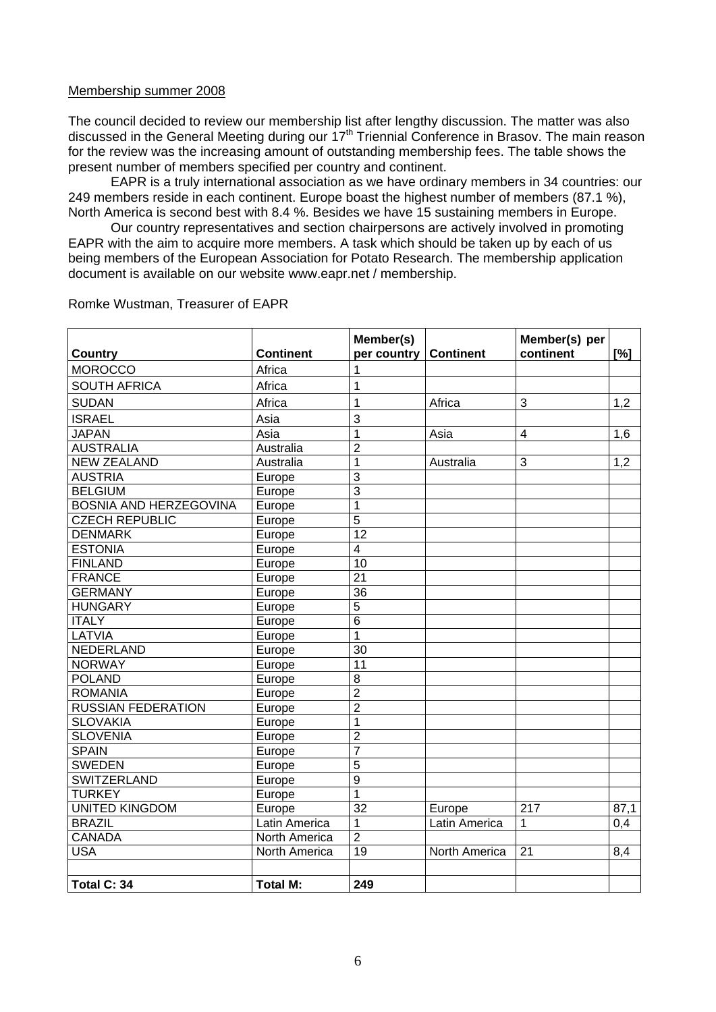#### Membership summer 2008

The council decided to review our membership list after lengthy discussion. The matter was also discussed in the General Meeting during our  $17<sup>th</sup>$  Triennial Conference in Brasov. The main reason for the review was the increasing amount of outstanding membership fees. The table shows the present number of members specified per country and continent.

EAPR is a truly international association as we have ordinary members in 34 countries: our 249 members reside in each continent. Europe boast the highest number of members (87.1 %), North America is second best with 8.4 %. Besides we have 15 sustaining members in Europe.

Our country representatives and section chairpersons are actively involved in promoting EAPR with the aim to acquire more members. A task which should be taken up by each of us being members of the European Association for Potato Research. The membership application document is available on our website www.eapr.net / membership.

| <b>Country</b>                | <b>Continent</b> | Member(s)<br>per country | <b>Continent</b> | Member(s) per<br>continent | [%]              |
|-------------------------------|------------------|--------------------------|------------------|----------------------------|------------------|
| <b>MOROCCO</b>                | Africa           | 1                        |                  |                            |                  |
|                               |                  |                          |                  |                            |                  |
| <b>SOUTH AFRICA</b>           | Africa           | 1                        |                  |                            |                  |
| <b>SUDAN</b>                  | Africa           | $\mathbf{1}$             | Africa           | 3                          | 1,2              |
| <b>ISRAEL</b>                 | Asia             | 3                        |                  |                            |                  |
| <b>JAPAN</b>                  | Asia             | 1                        | Asia             | 4                          | 1,6              |
| <b>AUSTRALIA</b>              | Australia        | $\overline{2}$           |                  |                            |                  |
| <b>NEW ZEALAND</b>            | Australia        | 1                        | Australia        | 3                          | 1,2              |
| <b>AUSTRIA</b>                | Europe           | 3                        |                  |                            |                  |
| <b>BELGIUM</b>                | Europe           | $\overline{3}$           |                  |                            |                  |
| <b>BOSNIA AND HERZEGOVINA</b> | Europe           | $\overline{1}$           |                  |                            |                  |
| <b>CZECH REPUBLIC</b>         | Europe           | 5                        |                  |                            |                  |
| <b>DENMARK</b>                | Europe           | 12                       |                  |                            |                  |
| <b>ESTONIA</b>                | Europe           | $\overline{4}$           |                  |                            |                  |
| <b>FINLAND</b>                | Europe           | $\overline{10}$          |                  |                            |                  |
| <b>FRANCE</b>                 | Europe           | $\overline{21}$          |                  |                            |                  |
| <b>GERMANY</b>                | Europe           | 36                       |                  |                            |                  |
| <b>HUNGARY</b>                | Europe           | $\overline{5}$           |                  |                            |                  |
| <b>ITALY</b>                  | Europe           | $\overline{6}$           |                  |                            |                  |
| LATVIA                        | Europe           | $\overline{1}$           |                  |                            |                  |
| <b>NEDERLAND</b>              | Europe           | $\overline{30}$          |                  |                            |                  |
| <b>NORWAY</b>                 | Europe           | 11                       |                  |                            |                  |
| <b>POLAND</b>                 | Europe           | 8                        |                  |                            |                  |
| <b>ROMANIA</b>                | Europe           | $\overline{2}$           |                  |                            |                  |
| <b>RUSSIAN FEDERATION</b>     | Europe           | $\overline{2}$           |                  |                            |                  |
| <b>SLOVAKIA</b>               | Europe           | 1                        |                  |                            |                  |
| <b>SLOVENIA</b>               | Europe           | $\overline{2}$           |                  |                            |                  |
| <b>SPAIN</b>                  | Europe           | $\overline{7}$           |                  |                            |                  |
| <b>SWEDEN</b>                 | Europe           | $\overline{5}$           |                  |                            |                  |
| <b>SWITZERLAND</b>            | Europe           | $\overline{9}$           |                  |                            |                  |
| <b>TURKEY</b>                 | Europe           | $\overline{1}$           |                  |                            |                  |
| <b>UNITED KINGDOM</b>         | Europe           | $\overline{32}$          | Europe           | $\overline{217}$           | 87,1             |
| <b>BRAZIL</b>                 | Latin America    | $\overline{1}$           | Latin America    | 1                          | $\overline{0,4}$ |
| <b>CANADA</b>                 | North America    | $\overline{2}$           |                  |                            |                  |
| <b>USA</b>                    | North America    | 19                       | North America    | 21                         | 8,4              |
|                               |                  |                          |                  |                            |                  |
| Total C: 34                   | <b>Total M:</b>  | 249                      |                  |                            |                  |

## Romke Wustman, Treasurer of EAPR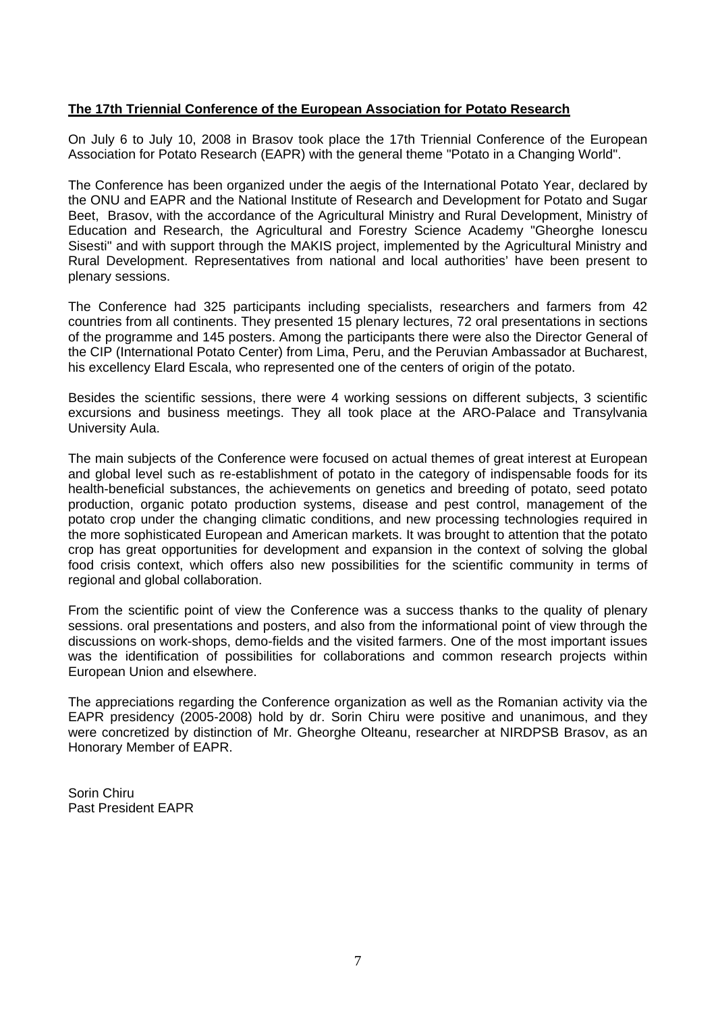## **The 17th Triennial Conference of the European Association for Potato Research**

On July 6 to July 10, 2008 in Brasov took place the 17th Triennial Conference of the European Association for Potato Research (EAPR) with the general theme "Potato in a Changing World".

The Conference has been organized under the aegis of the International Potato Year, declared by the ONU and EAPR and the National Institute of Research and Development for Potato and Sugar Beet, Brasov, with the accordance of the Agricultural Ministry and Rural Development, Ministry of Education and Research, the Agricultural and Forestry Science Academy "Gheorghe Ionescu Sisesti" and with support through the MAKIS project, implemented by the Agricultural Ministry and Rural Development. Representatives from national and local authorities' have been present to plenary sessions.

The Conference had 325 participants including specialists, researchers and farmers from 42 countries from all continents. They presented 15 plenary lectures, 72 oral presentations in sections of the programme and 145 posters. Among the participants there were also the Director General of the CIP (International Potato Center) from Lima, Peru, and the Peruvian Ambassador at Bucharest, his excellency Elard Escala, who represented one of the centers of origin of the potato.

Besides the scientific sessions, there were 4 working sessions on different subjects, 3 scientific excursions and business meetings. They all took place at the ARO-Palace and Transylvania University Aula.

The main subjects of the Conference were focused on actual themes of great interest at European and global level such as re-establishment of potato in the category of indispensable foods for its health-beneficial substances, the achievements on genetics and breeding of potato, seed potato production, organic potato production systems, disease and pest control, management of the potato crop under the changing climatic conditions, and new processing technologies required in the more sophisticated European and American markets. It was brought to attention that the potato crop has great opportunities for development and expansion in the context of solving the global food crisis context, which offers also new possibilities for the scientific community in terms of regional and global collaboration.

From the scientific point of view the Conference was a success thanks to the quality of plenary sessions. oral presentations and posters, and also from the informational point of view through the discussions on work-shops, demo-fields and the visited farmers. One of the most important issues was the identification of possibilities for collaborations and common research projects within European Union and elsewhere.

The appreciations regarding the Conference organization as well as the Romanian activity via the EAPR presidency (2005-2008) hold by dr. Sorin Chiru were positive and unanimous, and they were concretized by distinction of Mr. Gheorghe Olteanu, researcher at NIRDPSB Brasov, as an Honorary Member of EAPR.

Sorin Chiru Past President EAPR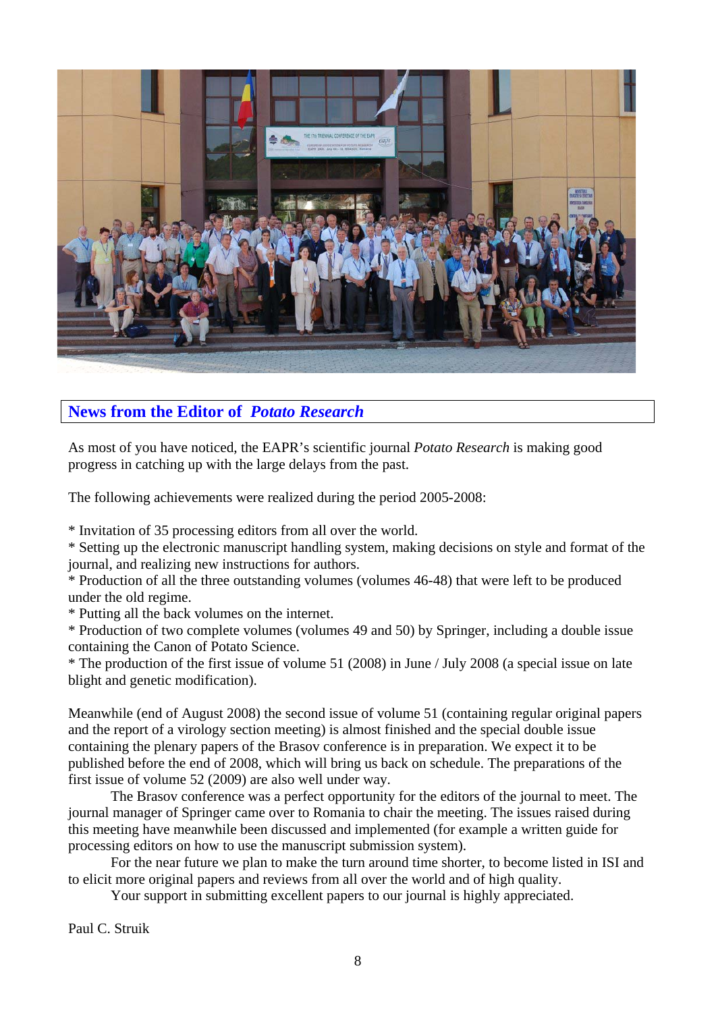

# **News from the Editor of** *Potato Research*

As most of you have noticed, the EAPR's scientific journal *Potato Research* is making good progress in catching up with the large delays from the past.

The following achievements were realized during the period 2005-2008:

\* Invitation of 35 processing editors from all over the world.

\* Setting up the electronic manuscript handling system, making decisions on style and format of the journal, and realizing new instructions for authors.

\* Production of all the three outstanding volumes (volumes 46-48) that were left to be produced under the old regime.

\* Putting all the back volumes on the internet.

\* Production of two complete volumes (volumes 49 and 50) by Springer, including a double issue containing the Canon of Potato Science.

\* The production of the first issue of volume 51 (2008) in June / July 2008 (a special issue on late blight and genetic modification).

Meanwhile (end of August 2008) the second issue of volume 51 (containing regular original papers and the report of a virology section meeting) is almost finished and the special double issue containing the plenary papers of the Brasov conference is in preparation. We expect it to be published before the end of 2008, which will bring us back on schedule. The preparations of the first issue of volume 52 (2009) are also well under way.

The Brasov conference was a perfect opportunity for the editors of the journal to meet. The journal manager of Springer came over to Romania to chair the meeting. The issues raised during this meeting have meanwhile been discussed and implemented (for example a written guide for processing editors on how to use the manuscript submission system).

For the near future we plan to make the turn around time shorter, to become listed in ISI and to elicit more original papers and reviews from all over the world and of high quality.

Your support in submitting excellent papers to our journal is highly appreciated.

Paul C. Struik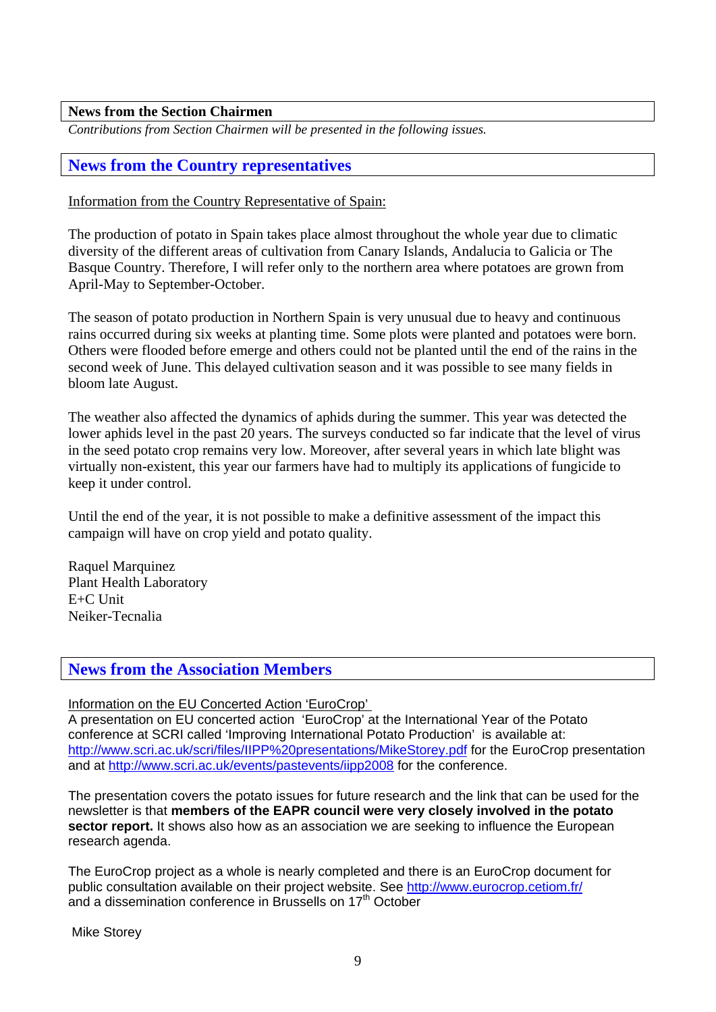## **News from the Section Chairmen**

*Contributions from Section Chairmen will be presented in the following issues.* 

# **News from the Country representatives**

## Information from the Country Representative of Spain:

The production of potato in Spain takes place almost throughout the whole year due to climatic diversity of the different areas of cultivation from Canary Islands, Andalucia to Galicia or The Basque Country. Therefore, I will refer only to the northern area where potatoes are grown from April-May to September-October.

The season of potato production in Northern Spain is very unusual due to heavy and continuous rains occurred during six weeks at planting time. Some plots were planted and potatoes were born. Others were flooded before emerge and others could not be planted until the end of the rains in the second week of June. This delayed cultivation season and it was possible to see many fields in bloom late August.

The weather also affected the dynamics of aphids during the summer. This year was detected the lower aphids level in the past 20 years. The surveys conducted so far indicate that the level of virus in the seed potato crop remains very low. Moreover, after several years in which late blight was virtually non-existent, this year our farmers have had to multiply its applications of fungicide to keep it under control.

Until the end of the year, it is not possible to make a definitive assessment of the impact this campaign will have on crop yield and potato quality.

Raquel Marquinez Plant Health Laboratory E+C Unit Neiker-Tecnalia

# **News from the Association Members**

Information on the EU Concerted Action 'EuroCrop'

A presentation on EU concerted action 'EuroCrop' at the International Year of the Potato conference at SCRI called 'Improving International Potato Production' is available at: http://www.scri.ac.uk/scri/files/IIPP%20presentations/MikeStorey.pdf for the EuroCrop presentation and at http://www.scri.ac.uk/events/pastevents/iipp2008 for the conference.

The presentation covers the potato issues for future research and the link that can be used for the newsletter is that **members of the EAPR council were very closely involved in the potato sector report.** It shows also how as an association we are seeking to influence the European research agenda.

The EuroCrop project as a whole is nearly completed and there is an EuroCrop document for public consultation available on their project website. See http://www.eurocrop.cetiom.fr/ and a dissemination conference in Brussells on 17<sup>th</sup> October

Mike Storey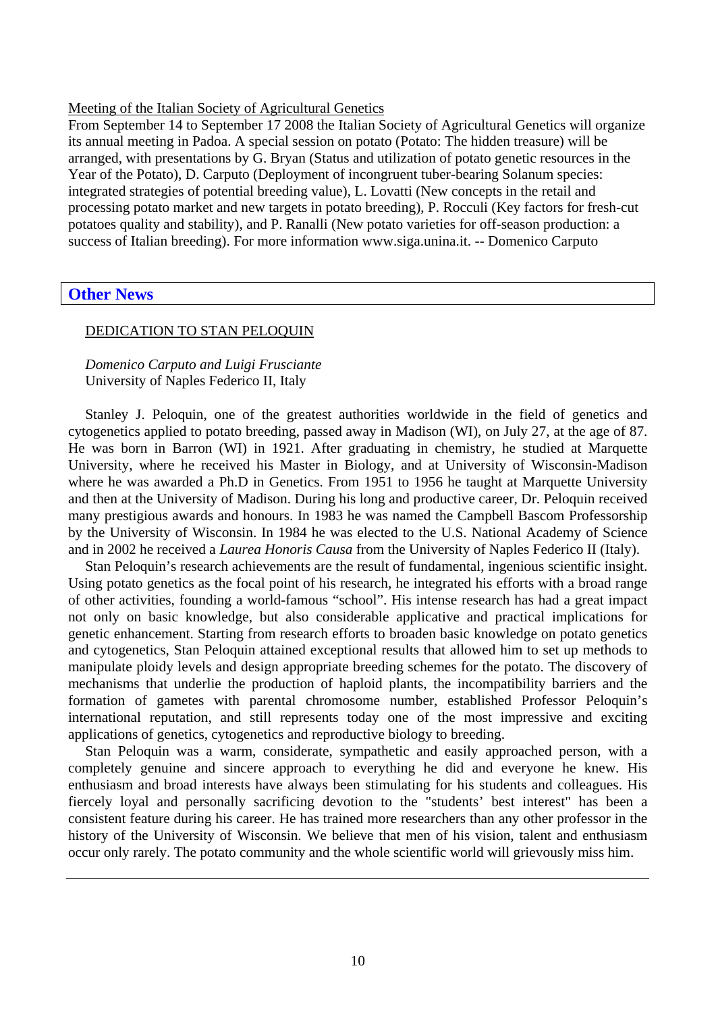## Meeting of the Italian Society of Agricultural Genetics

From September 14 to September 17 2008 the Italian Society of Agricultural Genetics will organize its annual meeting in Padoa. A special session on potato (Potato: The hidden treasure) will be arranged, with presentations by G. Bryan (Status and utilization of potato genetic resources in the Year of the Potato), D. Carputo (Deployment of incongruent tuber-bearing Solanum species: integrated strategies of potential breeding value), L. Lovatti (New concepts in the retail and processing potato market and new targets in potato breeding), P. Rocculi (Key factors for fresh-cut potatoes quality and stability), and P. Ranalli (New potato varieties for off-season production: a success of Italian breeding). For more information www.siga.unina.it. -- Domenico Carputo

## **Other News**

## DEDICATION TO STAN PELOQUIN

*Domenico Carputo and Luigi Frusciante*  University of Naples Federico II, Italy

Stanley J. Peloquin, one of the greatest authorities worldwide in the field of genetics and cytogenetics applied to potato breeding, passed away in Madison (WI), on July 27, at the age of 87. He was born in Barron (WI) in 1921. After graduating in chemistry, he studied at Marquette University, where he received his Master in Biology, and at University of Wisconsin-Madison where he was awarded a Ph.D in Genetics. From 1951 to 1956 he taught at Marquette University and then at the University of Madison. During his long and productive career, Dr. Peloquin received many prestigious awards and honours. In 1983 he was named the Campbell Bascom Professorship by the University of Wisconsin. In 1984 he was elected to the U.S. National Academy of Science and in 2002 he received a *Laurea Honoris Causa* from the University of Naples Federico II (Italy).

Stan Peloquin's research achievements are the result of fundamental, ingenious scientific insight. Using potato genetics as the focal point of his research, he integrated his efforts with a broad range of other activities, founding a world-famous "school". His intense research has had a great impact not only on basic knowledge, but also considerable applicative and practical implications for genetic enhancement. Starting from research efforts to broaden basic knowledge on potato genetics and cytogenetics, Stan Peloquin attained exceptional results that allowed him to set up methods to manipulate ploidy levels and design appropriate breeding schemes for the potato. The discovery of mechanisms that underlie the production of haploid plants, the incompatibility barriers and the formation of gametes with parental chromosome number, established Professor Peloquin's international reputation, and still represents today one of the most impressive and exciting applications of genetics, cytogenetics and reproductive biology to breeding.

Stan Peloquin was a warm, considerate, sympathetic and easily approached person, with a completely genuine and sincere approach to everything he did and everyone he knew. His enthusiasm and broad interests have always been stimulating for his students and colleagues. His fiercely loyal and personally sacrificing devotion to the "students' best interest" has been a consistent feature during his career. He has trained more researchers than any other professor in the history of the University of Wisconsin. We believe that men of his vision, talent and enthusiasm occur only rarely. The potato community and the whole scientific world will grievously miss him.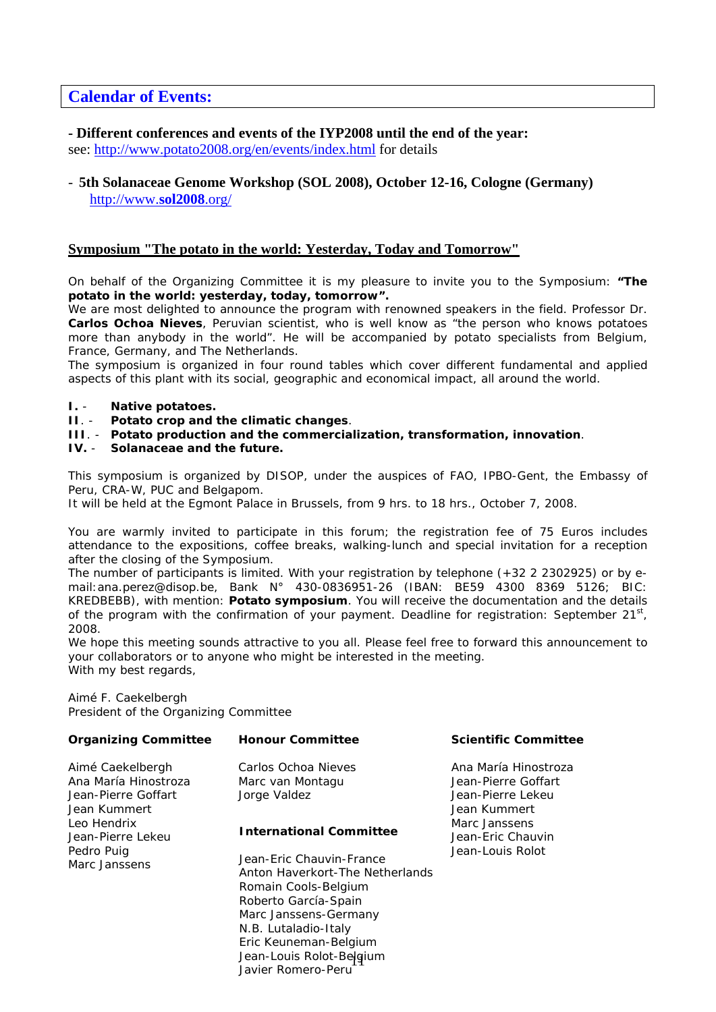# **Calendar of Events:**

## **- Different conferences and events of the IYP2008 until the end of the year:**

see: http://www.potato2008.org/en/events/index.html for details

## - **5th Solanaceae Genome Workshop (SOL 2008), October 12-16, Cologne (Germany)**  http://www.**sol2008**.org/

## **Symposium "The potato in the world: Yesterday, Today and Tomorrow"**

On behalf of the Organizing Committee it is my pleasure to invite you to the Symposium: **"The potato in the world: yesterday, today, tomorrow".**

We are most delighted to announce the program with renowned speakers in the field. Professor Dr. **Carlos Ochoa Nieves**, Peruvian scientist, who is well know as "the person who knows potatoes more than anybody in the world". He will be accompanied by potato specialists from Belgium, France, Germany, and The Netherlands.

The symposium is organized in four round tables which cover different fundamental and applied aspects of this plant with its social, geographic and economical impact, all around the world.

#### **I.** - **Native potatoes.**

- **II**. **Potato crop and the climatic changes**.
- **III**. **Potato production and the commercialization, transformation, innovation**.
- **IV.** *Solanaceae* **and the future.**

This symposium is organized by DISOP, under the auspices of FAO, IPBO-Gent, the Embassy of Peru, CRA-W, PUC and Belgapom.

It will be held at the Egmont Palace in Brussels, from 9 hrs. to 18 hrs., October 7, 2008.

You are warmly invited to participate in this forum; the registration fee of 75 Euros includes attendance to the expositions, coffee breaks, walking-lunch and special invitation for a reception after the closing of the Symposium.

The number of participants is limited. With your registration by telephone (+32 2 2302925) or by email:ana.perez@disop.be, Bank N° 430-0836951-26 (IBAN: BE59 4300 8369 5126; BIC: KREDBEBB), with mention: **Potato symposium**. You will receive the documentation and the details of the program with the confirmation of your payment. Deadline for registration: September  $21^{st}$ , 2008.

We hope this meeting sounds attractive to you all. Please feel free to forward this announcement to your collaborators or to anyone who might be interested in the meeting. With my best regards,

Aimé F. Caekelbergh President of the Organizing Committee

| <b>Organizing Committee</b>                                                     | <b>Honour Committee</b>                                                                                                                                                                                                                                                   | <b>Scientific Committee</b>                                                      |
|---------------------------------------------------------------------------------|---------------------------------------------------------------------------------------------------------------------------------------------------------------------------------------------------------------------------------------------------------------------------|----------------------------------------------------------------------------------|
| Aimé Caekelbergh<br>Ana María Hinostroza<br>Jean-Pierre Goffart<br>Jean Kummert | Carlos Ochoa Nieves<br>Marc van Montagu<br>Jorge Valdez                                                                                                                                                                                                                   | Ana María Hinostroza<br>Jean-Pierre Goffart<br>Jean-Pierre Lekeu<br>Jean Kummert |
| Leo Hendrix<br>Jean-Pierre Lekeu<br>Pedro Puig<br>Marc Janssens                 | <b>International Committee</b><br>Jean-Eric Chauvin-France<br>Anton Haverkort-The Netherlands<br>Romain Cools-Belgium<br>Roberto García-Spain<br>Marc Janssens-Germany<br>N.B. Lutaladio-Italy<br>Eric Keuneman-Belgium<br>Jean-Louis Rolot-Belgium<br>Javier Romero-Peru | Marc Janssens<br>Jean-Eric Chauvin<br>Jean-Louis Rolot                           |